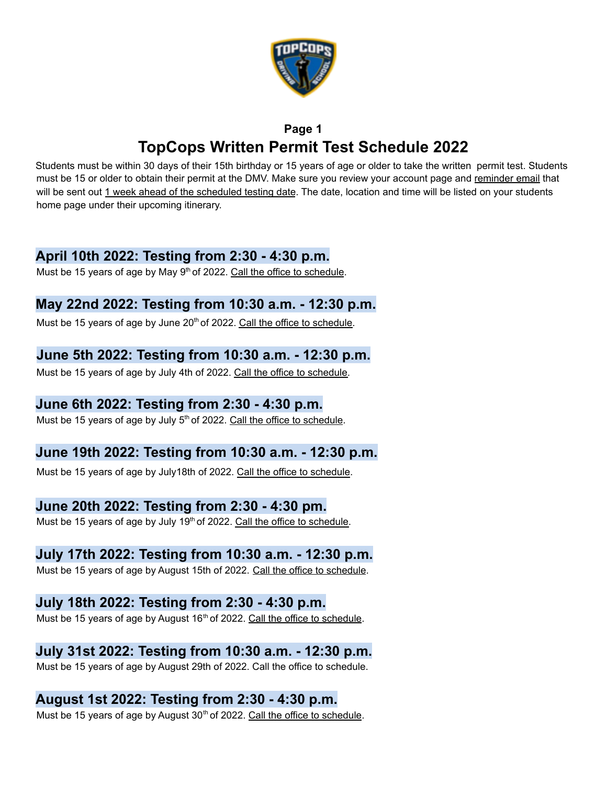

# **Page 1 TopCops Written Permit Test Schedule 2022**

Students must be within 30 days of their 15th birthday or 15 years of age or older to take the written permit test. Students must be 15 or older to obtain their permit at the DMV. Make sure you review your account page and reminder email that will be sent out 1 week ahead of the scheduled testing date. The date, location and time will be listed on your students home page under their upcoming itinerary.

### **April 10th 2022: Testing from 2:30 - 4:30 p.m.**

Must be 15 years of age by May 9<sup>th</sup> of 2022. Call the office to schedule.

## **May 22nd 2022: Testing from 10:30 a.m. - 12:30 p.m.**

Must be 15 years of age by June 20<sup>th</sup> of 2022. Call the office to schedule.

## **June 5th 2022: Testing from 10:30 a.m. - 12:30 p.m.**

Must be 15 years of age by July 4th of 2022. Call the office to schedule.

## **June 6th 2022: Testing from 2:30 - 4:30 p.m.**

Must be 15 years of age by July 5<sup>th</sup> of 2022. Call the office to schedule.

## **June 19th 2022: Testing from 10:30 a.m. - 12:30 p.m.**

Must be 15 years of age by July18th of 2022. Call the office to schedule.

## **June 20th 2022: Testing from 2:30 - 4:30 pm.**

Must be 15 years of age by July 19<sup>th</sup> of 2022. Call the office to schedule.

## **July 17th 2022: Testing from 10:30 a.m. - 12:30 p.m.**

Must be 15 years of age by August 15th of 2022. Call the office to schedule.

### **July 18th 2022: Testing from 2:30 - 4:30 p.m.**

Must be 15 years of age by August 16<sup>th</sup> of 2022. Call the office to schedule.

# **July 31st 2022: Testing from 10:30 a.m. - 12:30 p.m.**

Must be 15 years of age by August 29th of 2022. Call the office to schedule.

# **August 1st 2022: Testing from 2:30 - 4:30 p.m.**

Must be 15 years of age by August 30<sup>th</sup> of 2022. Call the office to schedule.